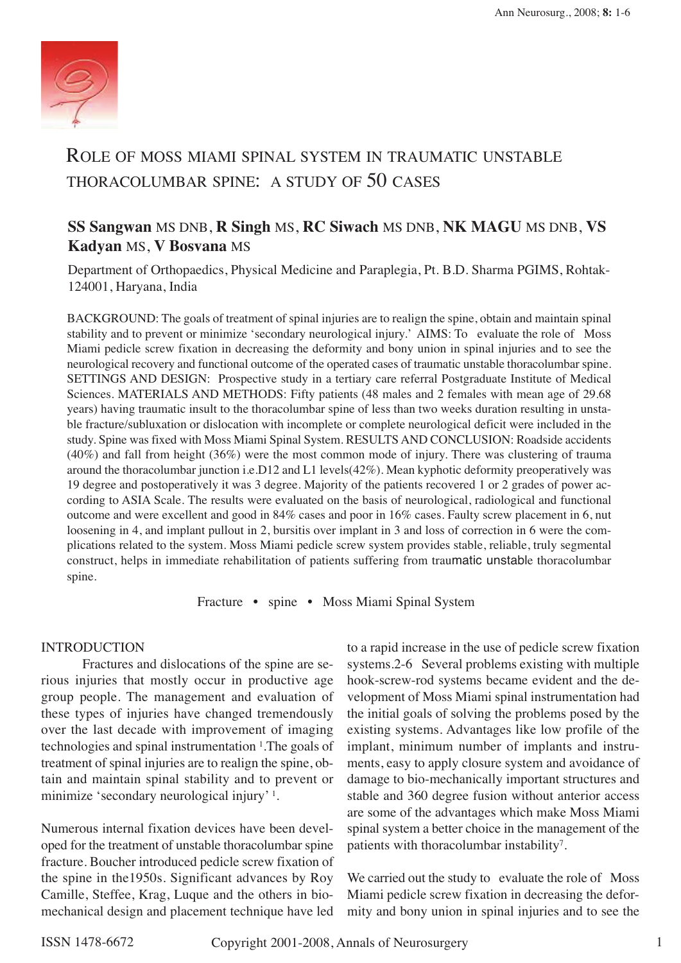

# ROLE OF MOSS MIAMI SPINAL SYSTEM IN TRAUMATIC UNSTABLE THORACOLUMBAR SPINE: A STUDY OF 50 CASES

# **SS Sangwan** MS DNB, **R Singh** MS, **RC Siwach** MS DNB, **NK MAGU** MS DNB, **VS Kadyan** MS, **V Bosvana** MS

Department of Orthopaedics, Physical Medicine and Paraplegia, Pt. B.D. Sharma PGIMS, Rohtak-124001, Haryana, India

BACKGROUND: The goals of treatment of spinal injuries are to realign the spine, obtain and maintain spinal stability and to prevent or minimize 'secondary neurological injury.' AIMS: To evaluate the role of Moss Miami pedicle screw fixation in decreasing the deformity and bony union in spinal injuries and to see the neurological recovery and functional outcome of the operated cases of traumatic unstable thoracolumbar spine. SETTINGS AND DESIGN: Prospective study in a tertiary care referral Postgraduate Institute of Medical Sciences. MATERIALS AND METHODS: Fifty patients (48 males and 2 females with mean age of 29.68 years) having traumatic insult to the thoracolumbar spine of less than two weeks duration resulting in unstable fracture/subluxation or dislocation with incomplete or complete neurological deficit were included in the study. Spine was fixed with Moss Miami Spinal System. RESULTS AND CONCLUSION: Roadside accidents (40%) and fall from height (36%) were the most common mode of injury. There was clustering of trauma around the thoracolumbar junction i.e.D12 and L1 levels(42%). Mean kyphotic deformity preoperatively was 19 degree and postoperatively it was 3 degree. Majority of the patients recovered 1 or 2 grades of power according to ASIA Scale. The results were evaluated on the basis of neurological, radiological and functional outcome and were excellent and good in 84% cases and poor in 16% cases. Faulty screw placement in 6, nut loosening in 4, and implant pullout in 2, bursitis over implant in 3 and loss of correction in 6 were the complications related to the system. Moss Miami pedicle screw system provides stable, reliable, truly segmental construct, helps in immediate rehabilitation of patients suffering from traumatic unstable thoracolumbar spine.

Fracture • spine • Moss Miami Spinal System

#### INTRODUCTION

Fractures and dislocations of the spine are serious injuries that mostly occur in productive age group people. The management and evaluation of these types of injuries have changed tremendously over the last decade with improvement of imaging technologies and spinal instrumentation 1.The goals of treatment of spinal injuries are to realign the spine, obtain and maintain spinal stability and to prevent or minimize 'secondary neurological injury' 1.

Numerous internal fixation devices have been developed for the treatment of unstable thoracolumbar spine fracture. Boucher introduced pedicle screw fixation of the spine in the1950s. Significant advances by Roy Camille, Steffee, Krag, Luque and the others in biomechanical design and placement technique have led

to a rapid increase in the use of pedicle screw fixation systems.2-6 Several problems existing with multiple hook-screw-rod systems became evident and the development of Moss Miami spinal instrumentation had the initial goals of solving the problems posed by the existing systems. Advantages like low profile of the implant, minimum number of implants and instruments, easy to apply closure system and avoidance of damage to bio-mechanically important structures and stable and 360 degree fusion without anterior access are some of the advantages which make Moss Miami spinal system a better choice in the management of the patients with thoracolumbar instability7.

We carried out the study to evaluate the role of Moss Miami pedicle screw fixation in decreasing the deformity and bony union in spinal injuries and to see the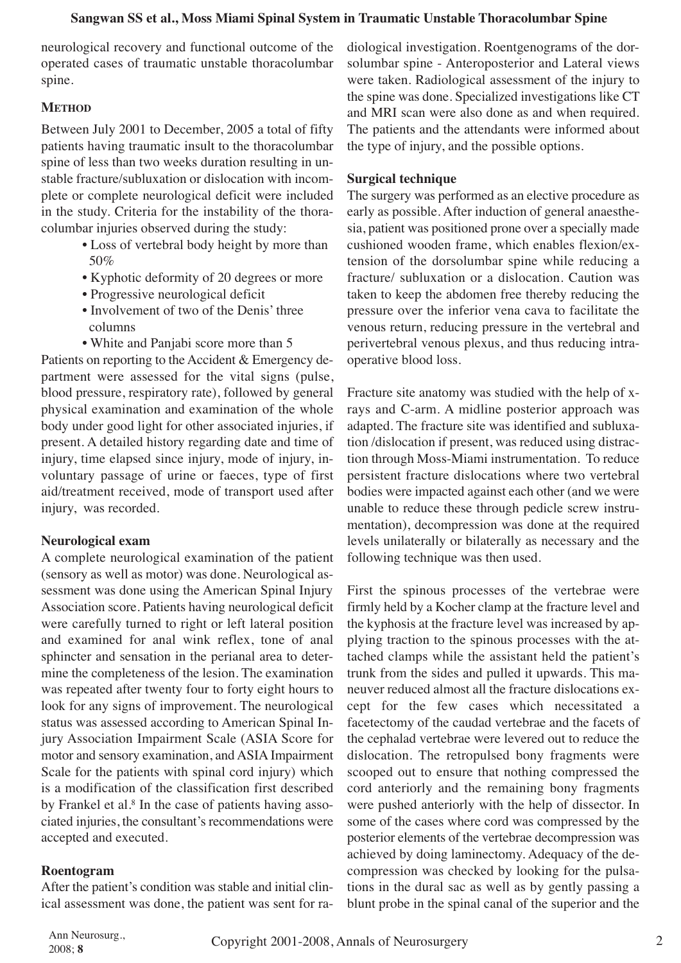neurological recovery and functional outcome of the operated cases of traumatic unstable thoracolumbar spine.

## **METHOD**

Between July 2001 to December, 2005 a total of fifty patients having traumatic insult to the thoracolumbar spine of less than two weeks duration resulting in unstable fracture/subluxation or dislocation with incomplete or complete neurological deficit were included in the study. Criteria for the instability of the thoracolumbar injuries observed during the study:

- Loss of vertebral body height by more than 50%
- Kyphotic deformity of 20 degrees or more
- Progressive neurological deficit
- Involvement of two of the Denis' three columns
- White and Panjabi score more than 5

Patients on reporting to the Accident & Emergency department were assessed for the vital signs (pulse, blood pressure, respiratory rate), followed by general physical examination and examination of the whole body under good light for other associated injuries, if present. A detailed history regarding date and time of injury, time elapsed since injury, mode of injury, involuntary passage of urine or faeces, type of first aid/treatment received, mode of transport used after injury, was recorded.

## **Neurological exam**

A complete neurological examination of the patient (sensory as well as motor) was done. Neurological assessment was done using the American Spinal Injury Association score. Patients having neurological deficit were carefully turned to right or left lateral position and examined for anal wink reflex, tone of anal sphincter and sensation in the perianal area to determine the completeness of the lesion. The examination was repeated after twenty four to forty eight hours to look for any signs of improvement. The neurological status was assessed according to American Spinal Injury Association Impairment Scale (ASIA Score for motor and sensory examination, and ASIA Impairment Scale for the patients with spinal cord injury) which is a modification of the classification first described by Frankel et al. <sup>8</sup> In the case of patients having associated injuries, the consultant's recommendations were accepted and executed.

#### **Roentogram**

After the patient's condition was stable and initial clinical assessment was done, the patient was sent for radiological investigation. Roentgenograms of the dorsolumbar spine - Anteroposterior and Lateral views were taken. Radiological assessment of the injury to the spine was done. Specialized investigations like CT and MRI scan were also done as and when required. The patients and the attendants were informed about the type of injury, and the possible options.

## **Surgical technique**

The surgery was performed as an elective procedure as early as possible. After induction of general anaesthesia, patient was positioned prone over a specially made cushioned wooden frame, which enables flexion/extension of the dorsolumbar spine while reducing a fracture/ subluxation or a dislocation. Caution was taken to keep the abdomen free thereby reducing the pressure over the inferior vena cava to facilitate the venous return, reducing pressure in the vertebral and perivertebral venous plexus, and thus reducing intraoperative blood loss.

Fracture site anatomy was studied with the help of xrays and C-arm. A midline posterior approach was adapted. The fracture site was identified and subluxation /dislocation if present, was reduced using distraction through Moss-Miami instrumentation. To reduce persistent fracture dislocations where two vertebral bodies were impacted against each other (and we were unable to reduce these through pedicle screw instrumentation), decompression was done at the required levels unilaterally or bilaterally as necessary and the following technique was then used.

First the spinous processes of the vertebrae were firmly held by a Kocher clamp at the fracture level and the kyphosis at the fracture level was increased by applying traction to the spinous processes with the attached clamps while the assistant held the patient's trunk from the sides and pulled it upwards. This maneuver reduced almost all the fracture dislocations except for the few cases which necessitated a facetectomy of the caudad vertebrae and the facets of the cephalad vertebrae were levered out to reduce the dislocation. The retropulsed bony fragments were scooped out to ensure that nothing compressed the cord anteriorly and the remaining bony fragments were pushed anteriorly with the help of dissector. In some of the cases where cord was compressed by the posterior elements of the vertebrae decompression was achieved by doing laminectomy. Adequacy of the decompression was checked by looking for the pulsations in the dural sac as well as by gently passing a blunt probe in the spinal canal of the superior and the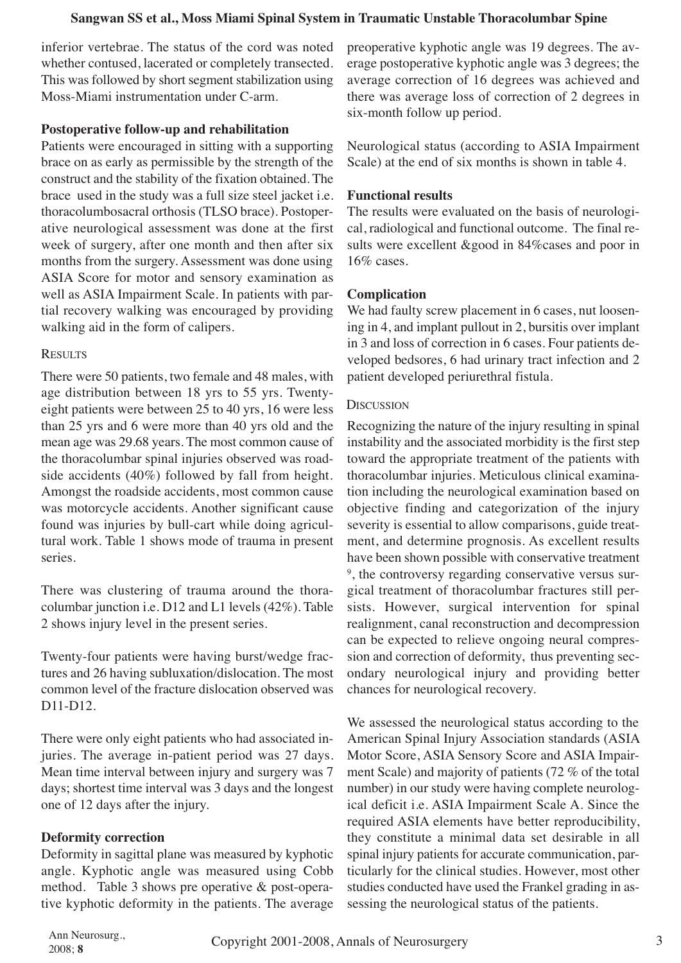inferior vertebrae. The status of the cord was noted whether contused, lacerated or completely transected. This was followed by short segment stabilization using Moss-Miami instrumentation under C-arm.

## **Postoperative follow-up and rehabilitation**

Patients were encouraged in sitting with a supporting brace on as early as permissible by the strength of the construct and the stability of the fixation obtained. The brace used in the study was a full size steel jacket i.e. thoracolumbosacral orthosis (TLSO brace). Postoperative neurological assessment was done at the first week of surgery, after one month and then after six months from the surgery. Assessment was done using ASIA Score for motor and sensory examination as well as ASIA Impairment Scale. In patients with partial recovery walking was encouraged by providing walking aid in the form of calipers.

## **RESULTS**

There were 50 patients, two female and 48 males, with age distribution between 18 yrs to 55 yrs. Twentyeight patients were between 25 to 40 yrs, 16 were less than 25 yrs and 6 were more than 40 yrs old and the mean age was 29.68 years. The most common cause of the thoracolumbar spinal injuries observed was roadside accidents (40%) followed by fall from height. Amongst the roadside accidents, most common cause was motorcycle accidents. Another significant cause found was injuries by bull-cart while doing agricultural work. Table 1 shows mode of trauma in present series.

There was clustering of trauma around the thoracolumbar junction i.e. D12 and L1 levels (42%). Table 2 shows injury level in the present series.

Twenty-four patients were having burst/wedge fractures and 26 having subluxation/dislocation. The most common level of the fracture dislocation observed was D11-D12.

There were only eight patients who had associated injuries. The average in-patient period was 27 days. Mean time interval between injury and surgery was 7 days; shortest time interval was 3 days and the longest one of 12 days after the injury.

## **Deformity correction**

Deformity in sagittal plane was measured by kyphotic angle. Kyphotic angle was measured using Cobb method. Table 3 shows pre operative & post-operative kyphotic deformity in the patients. The average preoperative kyphotic angle was 19 degrees. The average postoperative kyphotic angle was 3 degrees; the average correction of 16 degrees was achieved and there was average loss of correction of 2 degrees in six-month follow up period.

Neurological status (according to ASIA Impairment Scale) at the end of six months is shown in table 4.

### **Functional results**

The results were evaluated on the basis of neurological, radiological and functional outcome. The final results were excellent &good in 84%cases and poor in 16% cases.

## **Complication**

We had faulty screw placement in 6 cases, nut loosening in 4, and implant pullout in 2, bursitis over implant in 3 and loss of correction in 6 cases. Four patients developed bedsores, 6 had urinary tract infection and 2 patient developed periurethral fistula.

#### **DISCUSSION**

Recognizing the nature of the injury resulting in spinal instability and the associated morbidity is the first step toward the appropriate treatment of the patients with thoracolumbar injuries. Meticulous clinical examination including the neurological examination based on objective finding and categorization of the injury severity is essential to allow comparisons, guide treatment, and determine prognosis. As excellent results have been shown possible with conservative treatment 9, the controversy regarding conservative versus surgical treatment of thoracolumbar fractures still persists. However, surgical intervention for spinal realignment, canal reconstruction and decompression can be expected to relieve ongoing neural compression and correction of deformity, thus preventing secondary neurological injury and providing better chances for neurological recovery.

We assessed the neurological status according to the American Spinal Injury Association standards (ASIA Motor Score, ASIA Sensory Score and ASIA Impairment Scale) and majority of patients (72 % of the total number) in our study were having complete neurological deficit i.e. ASIA Impairment Scale A. Since the required ASIA elements have better reproducibility, they constitute a minimal data set desirable in all spinal injury patients for accurate communication, particularly for the clinical studies. However, most other studies conducted have used the Frankel grading in assessing the neurological status of the patients.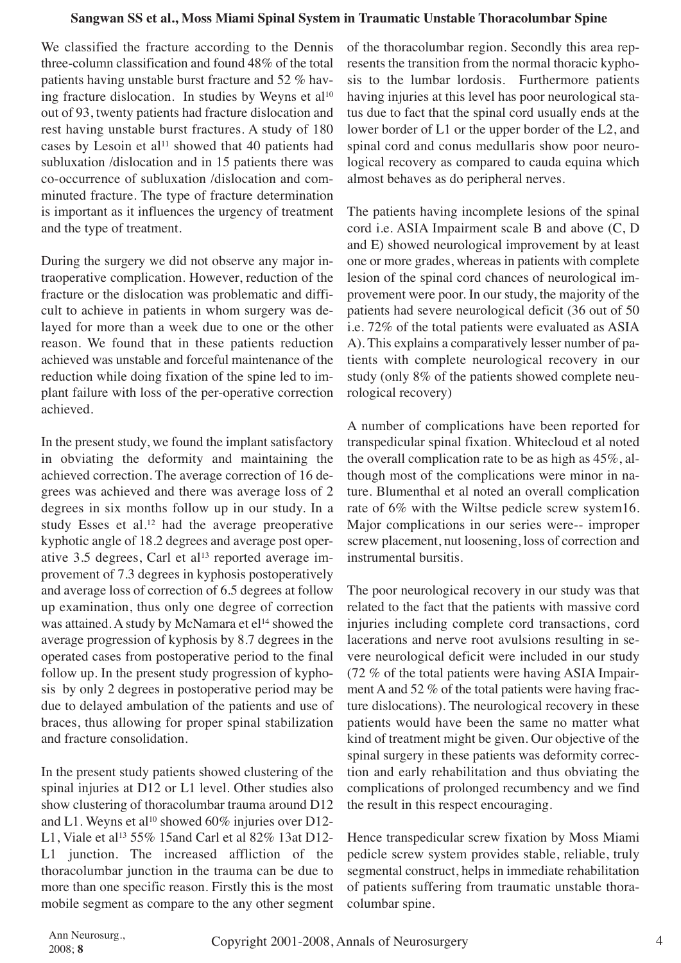We classified the fracture according to the Dennis three-column classification and found 48% of the total patients having unstable burst fracture and 52 % having fracture dislocation. In studies by Weyns et al<sup>10</sup> out of 93, twenty patients had fracture dislocation and rest having unstable burst fractures. A study of 180 cases by Lesoin et al<sup>11</sup> showed that 40 patients had subluxation /dislocation and in 15 patients there was co-occurrence of subluxation /dislocation and comminuted fracture. The type of fracture determination is important as it influences the urgency of treatment and the type of treatment.

During the surgery we did not observe any major intraoperative complication. However, reduction of the fracture or the dislocation was problematic and difficult to achieve in patients in whom surgery was delayed for more than a week due to one or the other reason. We found that in these patients reduction achieved was unstable and forceful maintenance of the reduction while doing fixation of the spine led to implant failure with loss of the per-operative correction achieved.

In the present study, we found the implant satisfactory in obviating the deformity and maintaining the achieved correction. The average correction of 16 degrees was achieved and there was average loss of 2 degrees in six months follow up in our study. In a study Esses et al. <sup>12</sup> had the average preoperative kyphotic angle of 18.2 degrees and average post operative  $3.5$  degrees, Carl et al<sup>13</sup> reported average improvement of 7.3 degrees in kyphosis postoperatively and average loss of correction of 6.5 degrees at follow up examination, thus only one degree of correction was attained. A study by McNamara et el<sup>14</sup> showed the average progression of kyphosis by 8.7 degrees in the operated cases from postoperative period to the final follow up. In the present study progression of kyphosis by only 2 degrees in postoperative period may be due to delayed ambulation of the patients and use of braces, thus allowing for proper spinal stabilization and fracture consolidation.

In the present study patients showed clustering of the spinal injuries at D12 or L1 level. Other studies also show clustering of thoracolumbar trauma around D12 and L1. Weyns et al<sup>10</sup> showed 60% injuries over D12-L1, Viale et al<sup>13</sup> 55% 15and Carl et al 82% 13at D12-L1 junction. The increased affliction of the thoracolumbar junction in the trauma can be due to more than one specific reason. Firstly this is the most mobile segment as compare to the any other segment of the thoracolumbar region. Secondly this area represents the transition from the normal thoracic kyphosis to the lumbar lordosis. Furthermore patients having injuries at this level has poor neurological status due to fact that the spinal cord usually ends at the lower border of L1 or the upper border of the L2, and spinal cord and conus medullaris show poor neurological recovery as compared to cauda equina which almost behaves as do peripheral nerves.

The patients having incomplete lesions of the spinal cord i.e. ASIA Impairment scale B and above (C, D and E) showed neurological improvement by at least one or more grades, whereas in patients with complete lesion of the spinal cord chances of neurological improvement were poor. In our study, the majority of the patients had severe neurological deficit (36 out of 50 i.e. 72% of the total patients were evaluated as ASIA A). This explains a comparatively lesser number of patients with complete neurological recovery in our study (only 8% of the patients showed complete neurological recovery)

A number of complications have been reported for transpedicular spinal fixation. Whitecloud et al noted the overall complication rate to be as high as 45%, although most of the complications were minor in nature. Blumenthal et al noted an overall complication rate of 6% with the Wiltse pedicle screw system16. Major complications in our series were-- improper screw placement, nut loosening, loss of correction and instrumental bursitis.

The poor neurological recovery in our study was that related to the fact that the patients with massive cord injuries including complete cord transactions, cord lacerations and nerve root avulsions resulting in severe neurological deficit were included in our study (72 % of the total patients were having ASIA Impairment A and 52 % of the total patients were having fracture dislocations). The neurological recovery in these patients would have been the same no matter what kind of treatment might be given. Our objective of the spinal surgery in these patients was deformity correction and early rehabilitation and thus obviating the complications of prolonged recumbency and we find the result in this respect encouraging.

Hence transpedicular screw fixation by Moss Miami pedicle screw system provides stable, reliable, truly segmental construct, helps in immediate rehabilitation of patients suffering from traumatic unstable thoracolumbar spine.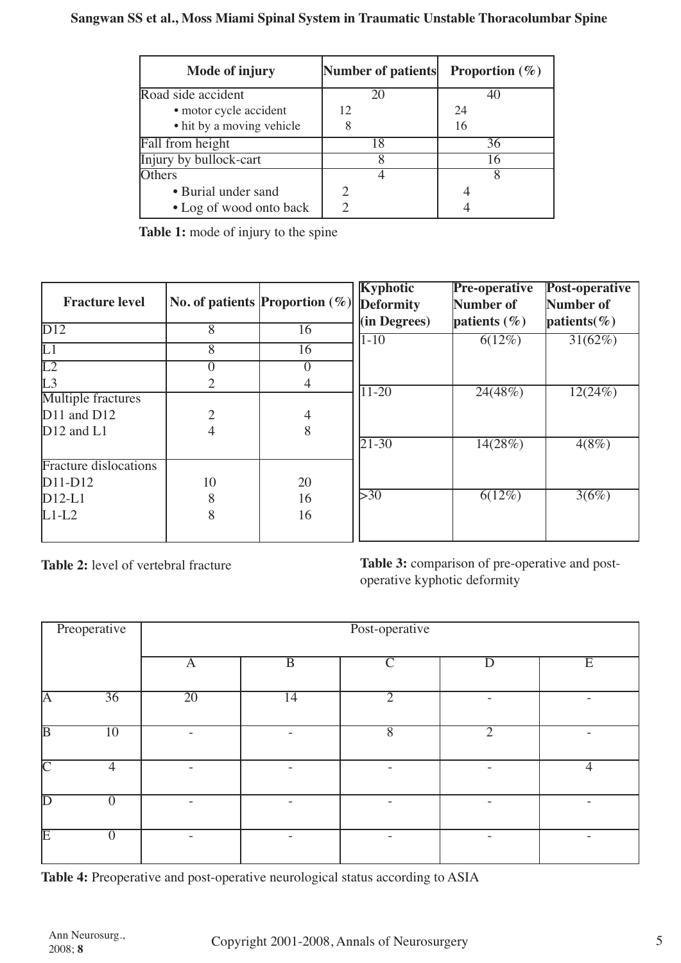| Mode of injury            | Number of patients | <b>Proportion</b> $(\%)$ |
|---------------------------|--------------------|--------------------------|
| Road side accident        | 20                 | 40                       |
| · motor cycle accident    | 12                 | 24                       |
| • hit by a moving vehicle |                    | 16                       |
| Fall from height          | 18                 | 36                       |
| Injury by bullock-cart    |                    | 16                       |
| <b>Others</b>             |                    |                          |
| • Burial under sand       |                    |                          |
| • Log of wood onto back   |                    |                          |

**Table 1:** mode of injury to the spine

|                              |    |                                       | <b>Kyphotic</b>   | <b>Pre-operative</b> | Post-operative           |
|------------------------------|----|---------------------------------------|-------------------|----------------------|--------------------------|
| <b>Fracture level</b>        |    | No. of patients $ $ Proportion $(\%)$ | <b>Deformity</b>  | Number of            | Number of                |
| D12                          |    |                                       | $(in$ Degrees $)$ | patients $(\% )$     | $\mathbf{patients}(\% )$ |
|                              | 8  | 16                                    | $1 - 10$          | 6(12%)               | $31(62\%)$               |
| L1                           | 8  | 16                                    |                   |                      |                          |
| $\overline{L2}$              |    |                                       |                   |                      |                          |
| L3                           |    | 4                                     |                   |                      |                          |
| <b>Multiple fractures</b>    |    |                                       | $11 - 20$         | 24(48%)              | 12(24%)                  |
| $D11$ and $D12$              |    | 4                                     |                   |                      |                          |
| $D12$ and $L1$               |    | 8                                     |                   |                      |                          |
|                              |    |                                       | $21 - 30$         | 14(28%)              | 4(8%)                    |
| <b>Fracture dislocations</b> |    |                                       |                   |                      |                          |
| $D11-D12$                    | 10 | 20                                    |                   |                      |                          |
| $D12-L1$                     | 8  | 16                                    | 530               | $6(12\%)$            | 3(6%)                    |
| $L1-L2$                      | 8  | 16                                    |                   |                      |                          |
|                              |    |                                       |                   |                      |                          |

**Table 2:** level of vertebral fracture

**Table 3:** comparison of pre-operative and postoperative kyphotic deformity

|                         | Preoperative    | Post-operative  |                |                |                |                |  |
|-------------------------|-----------------|-----------------|----------------|----------------|----------------|----------------|--|
|                         |                 | $\mathbf{A}$    | $\overline{B}$ | $\Gamma$       | $\overline{D}$ | $\overline{E}$ |  |
| $\overline{\mathsf{A}}$ | $\overline{36}$ | $\overline{20}$ | 14             | $\overline{2}$ |                |                |  |
| $\overline{\mathbb{B}}$ | $\overline{10}$ |                 |                | $\overline{8}$ | $\overline{2}$ |                |  |
| $\overline{\text{C}}$   | 4               |                 |                |                |                | 4              |  |
| $\overline{\mathbb{D}}$ | $\Omega$        |                 |                |                |                |                |  |
| $\overline{\mathrm{E}}$ | $\theta$        |                 |                |                |                |                |  |

**Table 4:** Preoperative and post-operative neurological status according to ASIA